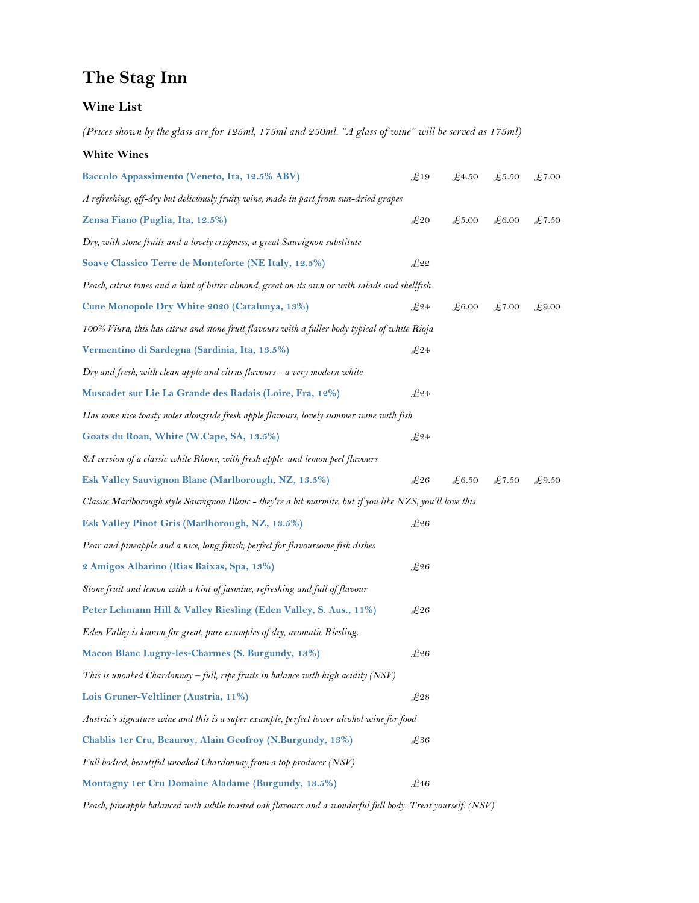## **The Stag Inn**

## **Wine List**

*(Prices shown by the glass are for 125ml, 175ml and 250ml. "A glass of wine" will be served as 175ml)*

**White Wines**

| Baccolo Appassimento (Veneto, Ita, 12.5% ABV)                                                            | £19           | £4.50          | £5.50 | $\pounds7.00$ |  |  |  |
|----------------------------------------------------------------------------------------------------------|---------------|----------------|-------|---------------|--|--|--|
| A refreshing, off-dry but deliciously fruity wine, made in part from sun-dried grapes                    |               |                |       |               |  |  |  |
| Zensa Fiano (Puglia, Ita, 12.5%)                                                                         | $E_{20}$      | £5.00          | £6.00 | £7.50         |  |  |  |
| Dry, with stone fruits and a lovely crispness, a great Sauvignon substitute                              |               |                |       |               |  |  |  |
| Soave Classico Terre de Monteforte (NE Italy, 12.5%)                                                     | E22           |                |       |               |  |  |  |
| Peach, citrus tones and a hint of bitter almond, great on its own or with salads and shellfish           |               |                |       |               |  |  |  |
| Cune Monopole Dry White 2020 (Catalunya, 13%)                                                            | $E_{24}$      | £6.00          | £7.00 | £9.00         |  |  |  |
| 100% Viura, this has citrus and stone fruit flavours with a fuller body typical of white Rioja           |               |                |       |               |  |  |  |
| Vermentino di Sardegna (Sardinia, Ita, 13.5%)                                                            | $E_{24}$      |                |       |               |  |  |  |
| Dry and fresh, with clean apple and citrus flavours - a very modern white                                |               |                |       |               |  |  |  |
| Muscadet sur Lie La Grande des Radais (Loire, Fra, 12%)                                                  | $E_{24}$      |                |       |               |  |  |  |
| Has some nice toasty notes alongside fresh apple flavours, lovely summer wine with fish                  |               |                |       |               |  |  |  |
| Goats du Roan, White (W.Cape, SA, 13.5%)                                                                 | $\pounds^2 4$ |                |       |               |  |  |  |
| SA version of a classic white Rhone, with fresh apple and lemon peel flavours                            |               |                |       |               |  |  |  |
| Esk Valley Sauvignon Blanc (Marlborough, NZ, 13.5%)                                                      | $E_{26}$      | $\pounds 6.50$ | £7.50 | £9.50         |  |  |  |
| Classic Marlborough style Sauvignon Blanc - they're a bit marmite, but if you like NZS, you'll love this |               |                |       |               |  |  |  |
| Esk Valley Pinot Gris (Marlborough, NZ, 13.5%)                                                           | $E_{26}$      |                |       |               |  |  |  |
| Pear and pineapple and a nice, long finish; perfect for flavoursome fish dishes                          |               |                |       |               |  |  |  |
| 2 Amigos Albarino (Rias Baixas, Spa, 13%)                                                                | $\pounds 26$  |                |       |               |  |  |  |
| Stone fruit and lemon with a hint of jasmine, refreshing and full of flavour                             |               |                |       |               |  |  |  |
| Peter Lehmann Hill & Valley Riesling (Eden Valley, S. Aus., 11%)                                         | $E_{26}$      |                |       |               |  |  |  |
| Eden Valley is known for great, pure examples of dry, aromatic Riesling.                                 |               |                |       |               |  |  |  |
| Macon Blanc Lugny-les-Charmes (S. Burgundy, 13%)                                                         | $E_{26}$      |                |       |               |  |  |  |
| This is unoaked Chardonnay – full, ripe fruits in balance with high acidity (NSV)                        |               |                |       |               |  |  |  |
| Lois Gruner-Veltliner (Austria, 11%)                                                                     | $E_{28}$      |                |       |               |  |  |  |
| Austria's signature wine and this is a super example, perfect lower alcohol wine for food                |               |                |       |               |  |  |  |
| Chablis 1er Cru, Beauroy, Alain Geofroy (N.Burgundy, 13%)                                                | $E_{36}$      |                |       |               |  |  |  |
| Full bodied, beautiful unoaked Chardonnay from a top producer (NSV)                                      |               |                |       |               |  |  |  |
| Montagny 1er Cru Domaine Aladame (Burgundy, 13.5%)                                                       | £46           |                |       |               |  |  |  |

*Peach, pineapple balanced with subtle toasted oak flavours and a wonderful full body. Treat yourself. (NSV)*